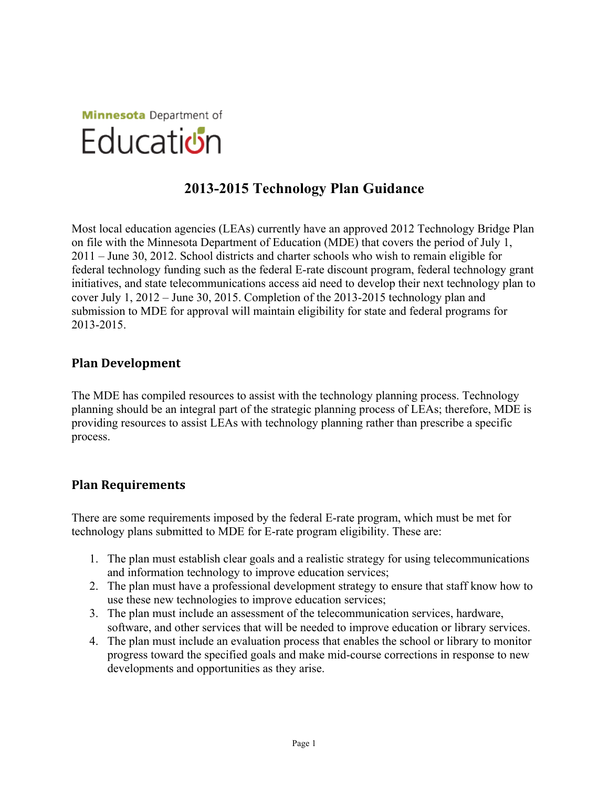

## **2013-2015 Technology Plan Guidance**

Most local education agencies (LEAs) currently have an approved 2012 Technology Bridge Plan on file with the Minnesota Department of Education (MDE) that covers the period of July 1, 2011 – June 30, 2012. School districts and charter schools who wish to remain eligible for federal technology funding such as the federal E-rate discount program, federal technology grant initiatives, and state telecommunications access aid need to develop their next technology plan to cover July 1, 2012 – June 30, 2015. Completion of the 2013-2015 technology plan and submission to MDE for approval will maintain eligibility for state and federal programs for 2013-2015.

### **Plan Development**

The MDE has compiled resources to assist with the technology planning process. Technology planning should be an integral part of the strategic planning process of LEAs; therefore, MDE is providing resources to assist LEAs with technology planning rather than prescribe a specific process.

### **Plan Requirements**

There are some requirements imposed by the federal E-rate program, which must be met for technology plans submitted to MDE for E-rate program eligibility. These are:

- 1. The plan must establish clear goals and a realistic strategy for using telecommunications and information technology to improve education services;
- 2. The plan must have a professional development strategy to ensure that staff know how to use these new technologies to improve education services;
- 3. The plan must include an assessment of the telecommunication services, hardware, software, and other services that will be needed to improve education or library services.
- 4. The plan must include an evaluation process that enables the school or library to monitor progress toward the specified goals and make mid-course corrections in response to new developments and opportunities as they arise.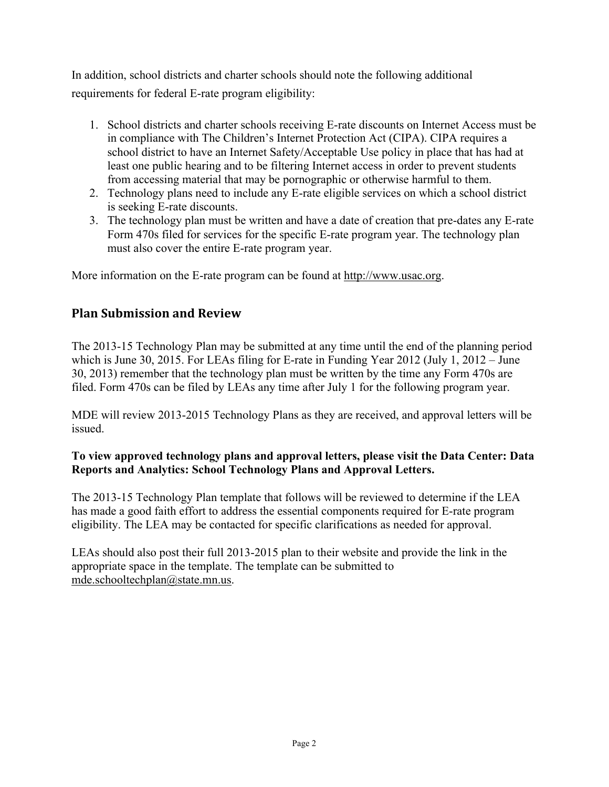In addition, school districts and charter schools should note the following additional requirements for federal E-rate program eligibility:

- 1. School districts and charter schools receiving E-rate discounts on Internet Access must be in compliance with The Children's Internet Protection Act (CIPA). CIPA requires a school district to have an Internet Safety/Acceptable Use policy in place that has had at least one public hearing and to be filtering Internet access in order to prevent students from accessing material that may be pornographic or otherwise harmful to them.
- 2. Technology plans need to include any E-rate eligible services on which a school district is seeking E-rate discounts.
- 3. The technology plan must be written and have a date of creation that pre-dates any E-rate Form 470s filed for services for the specific E-rate program year. The technology plan must also cover the entire E-rate program year.

More information on the E-rate program can be found at http://www.usac.org.

### **Plan Submission and Review**

The 2013-15 Technology Plan may be submitted at any time until the end of the planning period which is June 30, 2015. For LEAs filing for E-rate in Funding Year 2012 (July 1, 2012 – June 30, 2013) remember that the technology plan must be written by the time any Form 470s are filed. Form 470s can be filed by LEAs any time after July 1 for the following program year.

MDE will review 2013-2015 Technology Plans as they are received, and approval letters will be issued.

### **To view approved technology plans and approval letters, please visit the Data Center: Data Reports and Analytics: School Technology Plans and Approval Letters.**

The 2013-15 Technology Plan template that follows will be reviewed to determine if the LEA has made a good faith effort to address the essential components required for E-rate program eligibility. The LEA may be contacted for specific clarifications as needed for approval.

LEAs should also post their full 2013-2015 plan to their website and provide the link in the appropriate space in the template. The template can be submitted to mde.schooltechplan@state.mn.us.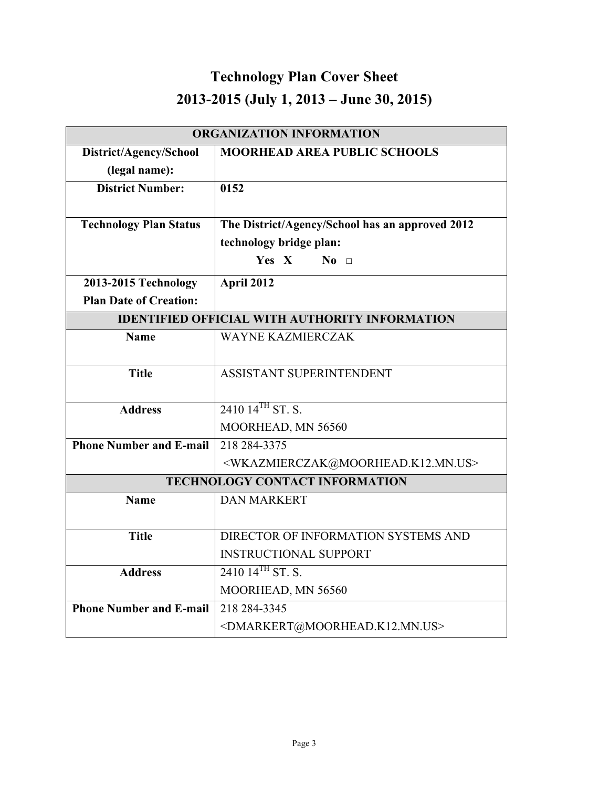# **Technology Plan Cover Sheet 2013-2015 (July 1, 2013 – June 30, 2015)**

| <b>ORGANIZATION INFORMATION</b>                       |                                                                     |
|-------------------------------------------------------|---------------------------------------------------------------------|
| District/Agency/School                                | <b>MOORHEAD AREA PUBLIC SCHOOLS</b>                                 |
| (legal name):                                         |                                                                     |
| <b>District Number:</b>                               | 0152                                                                |
|                                                       |                                                                     |
| <b>Technology Plan Status</b>                         | The District/Agency/School has an approved 2012                     |
|                                                       | technology bridge plan:                                             |
|                                                       | Yes X<br>$No$ $\Box$                                                |
| 2013-2015 Technology                                  | April 2012                                                          |
| <b>Plan Date of Creation:</b>                         |                                                                     |
| <b>IDENTIFIED OFFICIAL WITH AUTHORITY INFORMATION</b> |                                                                     |
| <b>Name</b>                                           | <b>WAYNE KAZMIERCZAK</b>                                            |
|                                                       |                                                                     |
| <b>Title</b>                                          | ASSISTANT SUPERINTENDENT                                            |
|                                                       |                                                                     |
| <b>Address</b>                                        | $2410\ 14^{TH}$ ST. S.                                              |
|                                                       | MOORHEAD, MN 56560                                                  |
| <b>Phone Number and E-mail</b>                        | 218 284-3375                                                        |
|                                                       | <wkazmierczak@moorhead.k12.mn.us></wkazmierczak@moorhead.k12.mn.us> |
| <b>TECHNOLOGY CONTACT INFORMATION</b>                 |                                                                     |
| <b>Name</b>                                           | <b>DAN MARKERT</b>                                                  |
|                                                       |                                                                     |
| <b>Title</b>                                          | DIRECTOR OF INFORMATION SYSTEMS AND                                 |
|                                                       | <b>INSTRUCTIONAL SUPPORT</b>                                        |
| <b>Address</b>                                        | $2410\;14^{TH}\;ST.$ ST.                                            |
|                                                       | MOORHEAD, MN 56560                                                  |
| <b>Phone Number and E-mail</b>                        | 218 284-3345                                                        |
|                                                       | <dmarkert@moorhead.k12.mn.us></dmarkert@moorhead.k12.mn.us>         |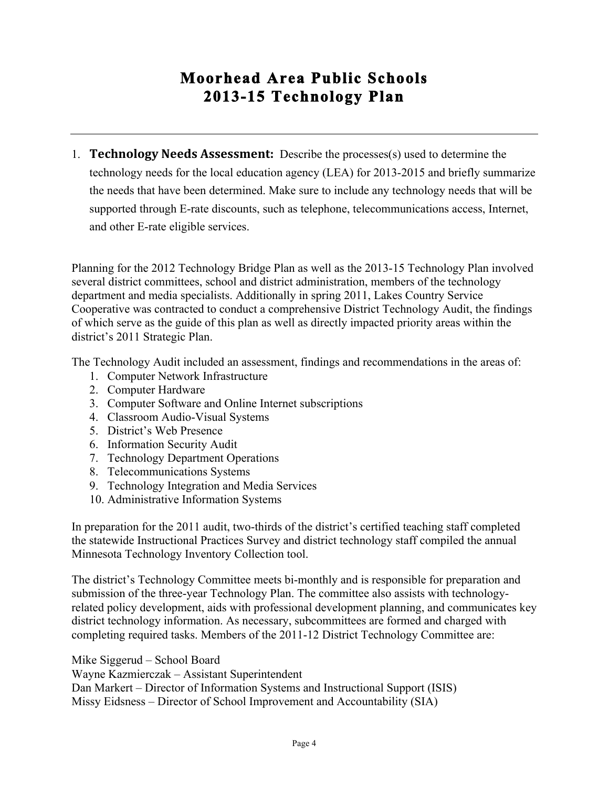# **Moorhead Area Public Schools 2013-15 Technology Plan**

1. **Technology Needs Assessment:** Describe the processes(s) used to determine the technology needs for the local education agency (LEA) for 2013-2015 and briefly summarize the needs that have been determined. Make sure to include any technology needs that will be supported through E-rate discounts, such as telephone, telecommunications access, Internet, and other E-rate eligible services.

Planning for the 2012 Technology Bridge Plan as well as the 2013-15 Technology Plan involved several district committees, school and district administration, members of the technology department and media specialists. Additionally in spring 2011, Lakes Country Service Cooperative was contracted to conduct a comprehensive District Technology Audit, the findings of which serve as the guide of this plan as well as directly impacted priority areas within the district's 2011 Strategic Plan.

The Technology Audit included an assessment, findings and recommendations in the areas of:

- 1. Computer Network Infrastructure
- 2. Computer Hardware
- 3. Computer Software and Online Internet subscriptions
- 4. Classroom Audio-Visual Systems
- 5. District's Web Presence
- 6. Information Security Audit
- 7. Technology Department Operations
- 8. Telecommunications Systems
- 9. Technology Integration and Media Services
- 10. Administrative Information Systems

In preparation for the 2011 audit, two-thirds of the district's certified teaching staff completed the statewide Instructional Practices Survey and district technology staff compiled the annual Minnesota Technology Inventory Collection tool.

The district's Technology Committee meets bi-monthly and is responsible for preparation and submission of the three-year Technology Plan. The committee also assists with technologyrelated policy development, aids with professional development planning, and communicates key district technology information. As necessary, subcommittees are formed and charged with completing required tasks. Members of the 2011-12 District Technology Committee are:

Mike Siggerud – School Board

Wayne Kazmierczak – Assistant Superintendent

Dan Markert – Director of Information Systems and Instructional Support (ISIS) Missy Eidsness – Director of School Improvement and Accountability (SIA)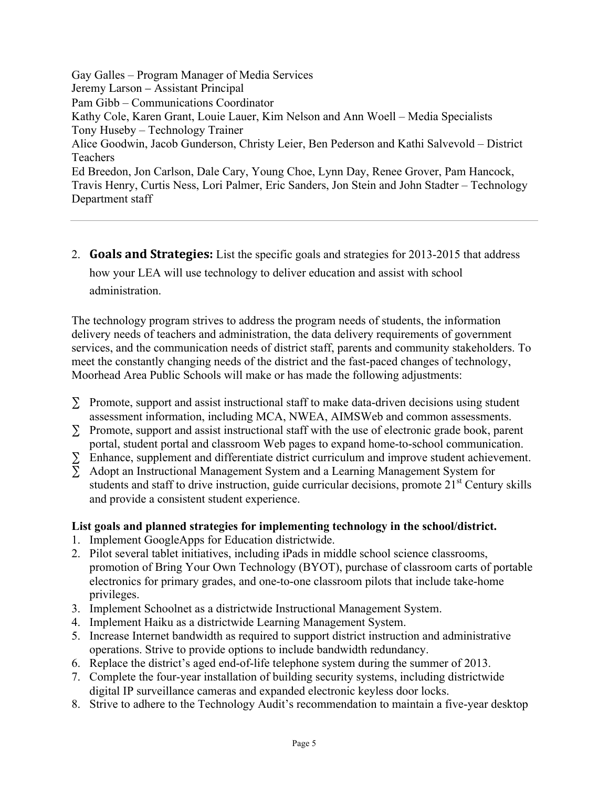Gay Galles – Program Manager of Media Services Jeremy Larson – Assistant Principal Pam Gibb – Communications Coordinator Kathy Cole, Karen Grant, Louie Lauer, Kim Nelson and Ann Woell – Media Specialists Tony Huseby – Technology Trainer Alice Goodwin, Jacob Gunderson, Christy Leier, Ben Pederson and Kathi Salvevold – District Teachers Ed Breedon, Jon Carlson, Dale Cary, Young Choe, Lynn Day, Renee Grover, Pam Hancock, Travis Henry, Curtis Ness, Lori Palmer, Eric Sanders, Jon Stein and John Stadter – Technology Department staff

2. **Goals and Strategies:** List the specific goals and strategies for 2013-2015 that address

how your LEA will use technology to deliver education and assist with school administration.

The technology program strives to address the program needs of students, the information delivery needs of teachers and administration, the data delivery requirements of government services, and the communication needs of district staff, parents and community stakeholders. To meet the constantly changing needs of the district and the fast-paced changes of technology, Moorhead Area Public Schools will make or has made the following adjustments:

- $\Sigma$  Promote, support and assist instructional staff to make data-driven decisions using student assessment information, including MCA, NWEA, AIMSWeb and common assessments.
- ∑ Promote, support and assist instructional staff with the use of electronic grade book, parent portal, student portal and classroom Web pages to expand home-to-school communication. portal, student portal and classroom Web pages to expand home-to-school communication.
- $\Sigma$  Enhance, supplement and differentiate district curriculum and improve student achievement.
- ∑ Adopt an Instructional Management System and a Learning Management System for students and staff to drive instruction, guide curricular decisions, promote  $21<sup>st</sup>$  Century skills and provide a consistent student experience.

### **List goals and planned strategies for implementing technology in the school/district.**

- 1. Implement GoogleApps for Education districtwide.
- 2. Pilot several tablet initiatives, including iPads in middle school science classrooms, promotion of Bring Your Own Technology (BYOT), purchase of classroom carts of portable electronics for primary grades, and one-to-one classroom pilots that include take-home privileges.
- 3. Implement Schoolnet as a districtwide Instructional Management System.
- 4. Implement Haiku as a districtwide Learning Management System.
- 5. Increase Internet bandwidth as required to support district instruction and administrative operations. Strive to provide options to include bandwidth redundancy.
- 6. Replace the district's aged end-of-life telephone system during the summer of 2013.
- 7. Complete the four-year installation of building security systems, including districtwide digital IP surveillance cameras and expanded electronic keyless door locks.
- 8. Strive to adhere to the Technology Audit's recommendation to maintain a five-year desktop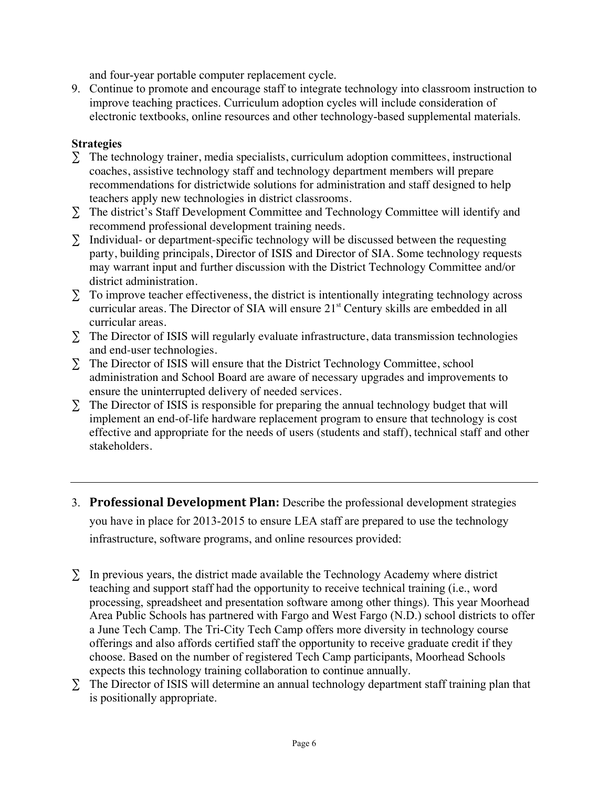and four-year portable computer replacement cycle.

9. Continue to promote and encourage staff to integrate technology into classroom instruction to improve teaching practices. Curriculum adoption cycles will include consideration of electronic textbooks, online resources and other technology-based supplemental materials.

#### **Strategies**

- $\Sigma$  The technology trainer, media specialists, curriculum adoption committees, instructional coaches, assistive technology staff and technology department members will prepare recommendations for districtwide solutions for administration and staff designed to help teachers apply new technologies in district classrooms.
- ∑ The district's Staff Development Committee and Technology Committee will identify and recommend professional development training needs.
- ∑ Individual- or department-specific technology will be discussed between the requesting party, building principals, Director of ISIS and Director of SIA. Some technology requests may warrant input and further discussion with the District Technology Committee and/or district administration.
- $\Sigma$  To improve teacher effectiveness, the district is intentionally integrating technology across curricular areas. The Director of SIA will ensure 21<sup>st</sup> Century skills are embedded in all curricular areas.
- ∑ The Director of ISIS will regularly evaluate infrastructure, data transmission technologies and end-user technologies.
- ∑ The Director of ISIS will ensure that the District Technology Committee, school administration and School Board are aware of necessary upgrades and improvements to ensure the uninterrupted delivery of needed services.
- ∑ The Director of ISIS is responsible for preparing the annual technology budget that will implement an end-of-life hardware replacement program to ensure that technology is cost effective and appropriate for the needs of users (students and staff), technical staff and other stakeholders.
- 3. **Professional Development Plan:** Describe the professional development strategies you have in place for 2013-2015 to ensure LEA staff are prepared to use the technology infrastructure, software programs, and online resources provided:
- ∑ In previous years, the district made available the Technology Academy where district teaching and support staff had the opportunity to receive technical training (i.e., word processing, spreadsheet and presentation software among other things). This year Moorhead Area Public Schools has partnered with Fargo and West Fargo (N.D.) school districts to offer a June Tech Camp. The Tri-City Tech Camp offers more diversity in technology course offerings and also affords certified staff the opportunity to receive graduate credit if they choose. Based on the number of registered Tech Camp participants, Moorhead Schools expects this technology training collaboration to continue annually.
- ∑ The Director of ISIS will determine an annual technology department staff training plan that is positionally appropriate.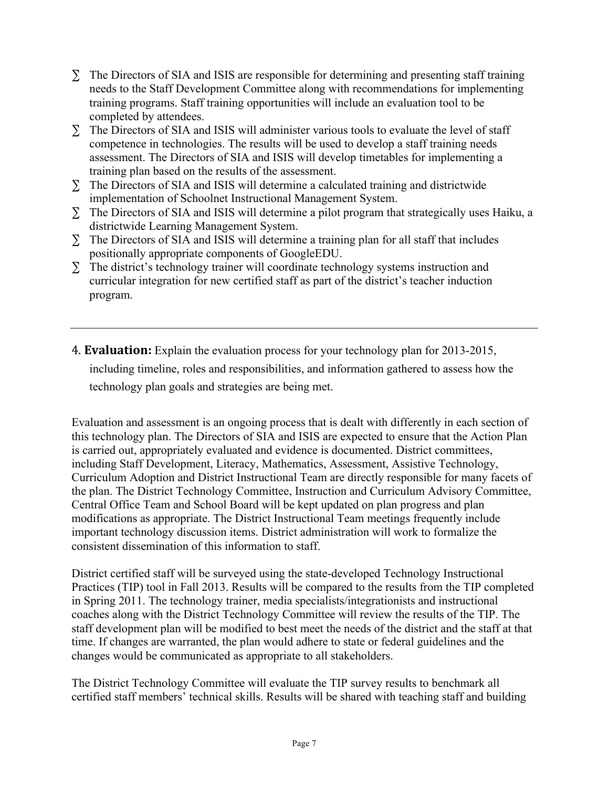- ∑ The Directors of SIA and ISIS are responsible for determining and presenting staff training needs to the Staff Development Committee along with recommendations for implementing training programs. Staff training opportunities will include an evaluation tool to be completed by attendees.
- ∑ The Directors of SIA and ISIS will administer various tools to evaluate the level of staff competence in technologies. The results will be used to develop a staff training needs assessment. The Directors of SIA and ISIS will develop timetables for implementing a training plan based on the results of the assessment.
- ∑ The Directors of SIA and ISIS will determine a calculated training and districtwide implementation of Schoolnet Instructional Management System.
- ∑ The Directors of SIA and ISIS will determine a pilot program that strategically uses Haiku, a districtwide Learning Management System.
- ∑ The Directors of SIA and ISIS will determine a training plan for all staff that includes positionally appropriate components of GoogleEDU.
- $\Sigma$  The district's technology trainer will coordinate technology systems instruction and curricular integration for new certified staff as part of the district's teacher induction program.
- 4. **Evaluation:** Explain the evaluation process for your technology plan for 2013-2015, including timeline, roles and responsibilities, and information gathered to assess how the technology plan goals and strategies are being met.

Evaluation and assessment is an ongoing process that is dealt with differently in each section of this technology plan. The Directors of SIA and ISIS are expected to ensure that the Action Plan is carried out, appropriately evaluated and evidence is documented. District committees, including Staff Development, Literacy, Mathematics, Assessment, Assistive Technology, Curriculum Adoption and District Instructional Team are directly responsible for many facets of the plan. The District Technology Committee, Instruction and Curriculum Advisory Committee, Central Office Team and School Board will be kept updated on plan progress and plan modifications as appropriate. The District Instructional Team meetings frequently include important technology discussion items. District administration will work to formalize the consistent dissemination of this information to staff.

District certified staff will be surveyed using the state-developed Technology Instructional Practices (TIP) tool in Fall 2013. Results will be compared to the results from the TIP completed in Spring 2011. The technology trainer, media specialists/integrationists and instructional coaches along with the District Technology Committee will review the results of the TIP. The staff development plan will be modified to best meet the needs of the district and the staff at that time. If changes are warranted, the plan would adhere to state or federal guidelines and the changes would be communicated as appropriate to all stakeholders.

The District Technology Committee will evaluate the TIP survey results to benchmark all certified staff members' technical skills. Results will be shared with teaching staff and building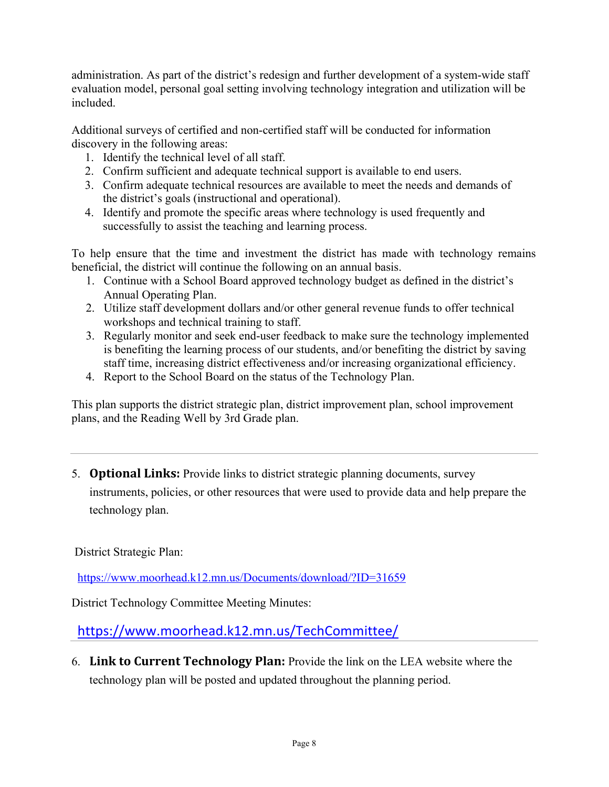administration. As part of the district's redesign and further development of a system-wide staff evaluation model, personal goal setting involving technology integration and utilization will be included.

Additional surveys of certified and non-certified staff will be conducted for information discovery in the following areas:

- 1. Identify the technical level of all staff.
- 2. Confirm sufficient and adequate technical support is available to end users.
- 3. Confirm adequate technical resources are available to meet the needs and demands of the district's goals (instructional and operational).
- 4. Identify and promote the specific areas where technology is used frequently and successfully to assist the teaching and learning process.

To help ensure that the time and investment the district has made with technology remains beneficial, the district will continue the following on an annual basis.

- 1. Continue with a School Board approved technology budget as defined in the district's Annual Operating Plan.
- 2. Utilize staff development dollars and/or other general revenue funds to offer technical workshops and technical training to staff.
- 3. Regularly monitor and seek end-user feedback to make sure the technology implemented is benefiting the learning process of our students, and/or benefiting the district by saving staff time, increasing district effectiveness and/or increasing organizational efficiency.
- 4. Report to the School Board on the status of the Technology Plan.

This plan supports the district strategic plan, district improvement plan, school improvement plans, and the Reading Well by 3rd Grade plan.

5. **Optional Links:** Provide links to district strategic planning documents, survey instruments, policies, or other resources that were used to provide data and help prepare the

District Strategic Plan:

technology plan.

https://www.moorhead.k12.mn.us/Documents/download/?ID=31659

District Technology Committee Meeting Minutes:

https://www.moorhead.k12.mn.us/TechCommittee/

6. **Link to Current Technology Plan:** Provide the link on the LEA website where the technology plan will be posted and updated throughout the planning period.